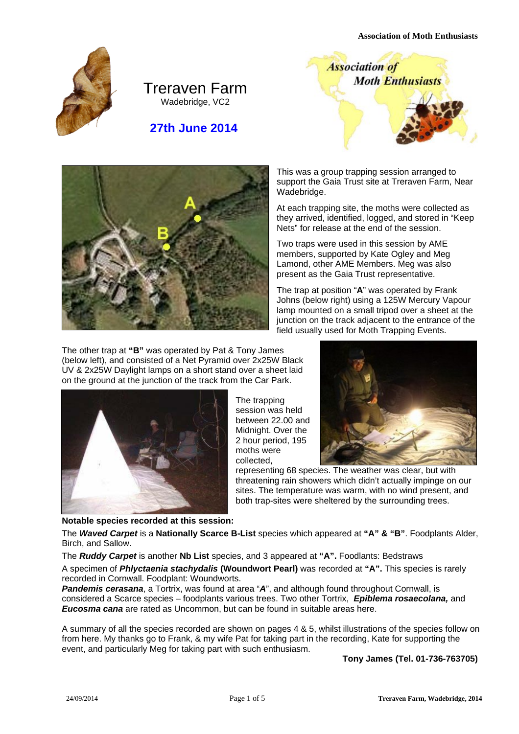**Association of Moth Enthusiasts** 



# Treraven Farm Wadebridge, VC2

 **27th June 2014** 





The other trap at **"B"** was operated by Pat & Tony James (below left), and consisted of a Net Pyramid over 2x25W Black UV & 2x25W Daylight lamps on a short stand over a sheet laid on the ground at the junction of the track from the Car Park.



**Notable species recorded at this session:** 

Wadebridge. At each trapping site, the moths were collected as they arrived, identified, logged, and stored in "Keep Nets" for release at the end of the session.

This was a group trapping session arranged to support the Gaia Trust site at Treraven Farm, Near

Two traps were used in this session by AME members, supported by Kate Ogley and Meg Lamond, other AME Members. Meg was also present as the Gaia Trust representative.

The trap at position "**A**" was operated by Frank Johns (below right) using a 125W Mercury Vapour lamp mounted on a small tripod over a sheet at the junction on the track adiacent to the entrance of the field usually used for Moth Trapping Events.

The trapping session was held between 22.00 and Midnight. Over the 2 hour period, 195 moths were collected,



representing 68 species. The weather was clear, but with threatening rain showers which didn't actually impinge on our sites. The temperature was warm, with no wind present, and both trap-sites were sheltered by the surrounding trees.

The *Waved Carpet* is a **Nationally Scarce B-List** species which appeared at **"A" & "B"**. Foodplants Alder, Birch, and Sallow.

The *Ruddy Carpet* is another **Nb List** species, and 3 appeared at **"A".** Foodlants: Bedstraws

A specimen of *Phlyctaenia stachydalis* **(Woundwort Pearl)** was recorded at **"A".** This species is rarely recorded in Cornwall. Foodplant: Woundworts.

*Pandemis cerasana*, a Tortrix, was found at area "*A*", and although found throughout Cornwall, is considered a Scarce species – foodplants various trees. Two other Tortrix, *Epiblema rosaecolana,* and *Eucosma cana* are rated as Uncommon, but can be found in suitable areas here.

A summary of all the species recorded are shown on pages 4 & 5, whilst illustrations of the species follow on from here. My thanks go to Frank, & my wife Pat for taking part in the recording, Kate for supporting the event, and particularly Meg for taking part with such enthusiasm.

 **Tony James (Tel. 01-736-763705)**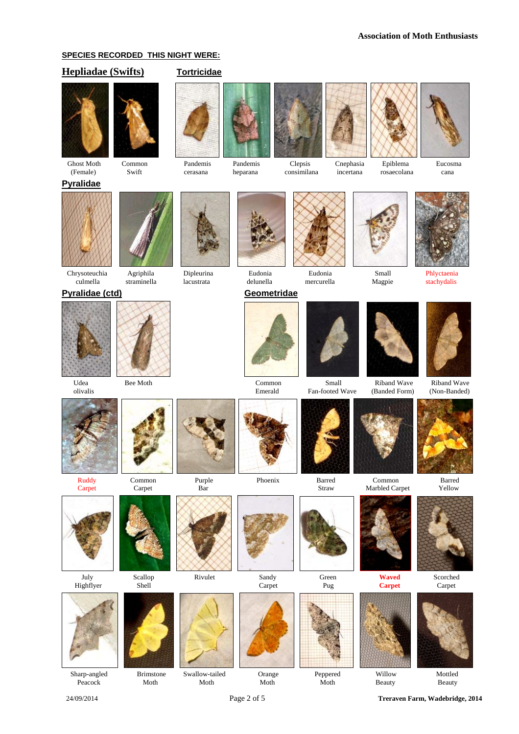### **SPECIES RECORDED THIS NIGHT WERE:**

## **Hepliadae (Swifts) Tortricidae**





**Pyralidae**



Ghost Moth Common Pandemis Pandemis Clepsis Cnephasia Epiblema Eucosma



#### **Pyralidae (ctd)** Geometridae





















Ruddy Common Purple Phoenix Barred Common Barred





Sharp-angled Brimstone Swallow-tailed Orange Peppered Willow Mottled

Peacock Moth Moth Moth Moth Moth Moth Beauty Beauty















24/09/2014 Page 2 of 5 **Treraven Farm, Wadebridge, 2014** 





Udea Bee Moth Common Small Riband Wave Riband Wave





July Scallop Rivulet Sandy Green **Waved** Scorched











Fan-footed Wave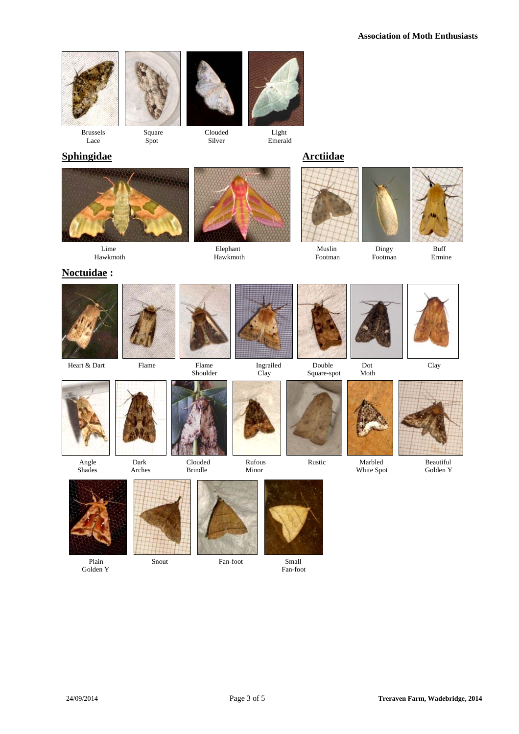



Brussels Square Clouded Light<br>Lace Spot Silver Emeral Lace Spot Silver Emerald





# **Sphingidae Arctiidae**





Hawkmoth Hawkmoth Footman Footman Ermine

## **Noctuidae :**







Lime Elephant Elephant Muslin Dingy Buff























Plain Snout Fan-foot Small



Golden Y Fan-foot



 Angle Dark Clouded Rufous Rustic Marbled Beautiful Shades Arches Brindle Minor White Spot Golden Y

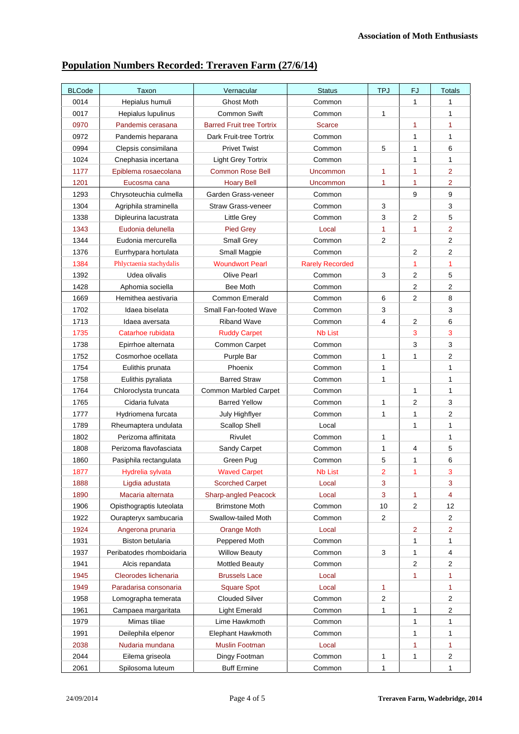# **Population Numbers Recorded: Treraven Farm (27/6/14)**

| <b>BLCode</b> | Taxon                    | Vernacular                       | <b>Status</b>          | <b>TPJ</b>              | FJ             | <b>Totals</b>           |
|---------------|--------------------------|----------------------------------|------------------------|-------------------------|----------------|-------------------------|
| 0014          | Hepialus humuli          | Ghost Moth                       | Common                 |                         | $\mathbf{1}$   | 1                       |
| 0017          | Hepialus lupulinus       | <b>Common Swift</b>              | Common                 | 1                       |                | 1                       |
| 0970          | Pandemis cerasana        | <b>Barred Fruit tree Tortrix</b> | <b>Scarce</b>          |                         | 1              | 1                       |
| 0972          | Pandemis heparana        | Dark Fruit-tree Tortrix          | Common                 |                         | 1              | $\mathbf{1}$            |
| 0994          | Clepsis consimilana      | <b>Privet Twist</b>              | Common                 | 5                       | 1              | 6                       |
| 1024          | Cnephasia incertana      | <b>Light Grey Tortrix</b>        | Common                 |                         | $\mathbf{1}$   | 1                       |
| 1177          | Epiblema rosaecolana     | <b>Common Rose Bell</b>          | <b>Uncommon</b>        | 1                       | 1              | $\overline{2}$          |
| 1201          | Eucosma cana             | <b>Hoary Bell</b>                | Uncommon               | 1                       | 1              | $\overline{2}$          |
| 1293          | Chrysoteuchia culmella   | Garden Grass-veneer              | Common                 |                         | 9              | $\boldsymbol{9}$        |
| 1304          | Agriphila straminella    | Straw Grass-veneer               | Common                 | 3                       |                | 3                       |
| 1338          | Dipleurina lacustrata    | <b>Little Grey</b>               | Common                 | 3                       | $\overline{2}$ | 5                       |
| 1343          | Eudonia delunella        | <b>Pied Grey</b>                 | Local                  | 1                       | 1              | $\overline{2}$          |
| 1344          | Eudonia mercurella       | Small Grey                       | Common                 | $\overline{2}$          |                | $\overline{2}$          |
| 1376          | Eurrhypara hortulata     | Small Magpie                     | Common                 |                         | $\overline{2}$ | 2                       |
| 1384          | Phlyctaenia stachydalis  | <b>Woundwort Pearl</b>           | <b>Rarely Recorded</b> |                         | 1              | 1                       |
| 1392          | Udea olivalis            | <b>Olive Pearl</b>               | Common                 | 3                       | 2              | $\mathbf 5$             |
| 1428          | Aphomia sociella         | Bee Moth                         | Common                 |                         | 2              | $\overline{\mathbf{c}}$ |
| 1669          | Hemithea aestivaria      | <b>Common Emerald</b>            | Common                 | 6                       | $\overline{2}$ | 8                       |
| 1702          | Idaea biselata           | Small Fan-footed Wave            | Common                 | 3                       |                | 3                       |
| 1713          | Idaea aversata           | <b>Riband Wave</b>               | Common                 | 4                       | 2              | $\,6$                   |
| 1735          | Catarhoe rubidata        | <b>Ruddy Carpet</b>              | <b>Nb List</b>         |                         | 3              | $\mathbf{3}$            |
| 1738          | Epirrhoe alternata       | Common Carpet                    | Common                 |                         | 3              | 3                       |
| 1752          | Cosmorhoe ocellata       | Purple Bar                       | Common                 | 1                       | 1              | $\overline{c}$          |
| 1754          | Eulithis prunata         | Phoenix                          | Common                 | 1                       |                | $\mathbf{1}$            |
| 1758          | Eulithis pyraliata       | <b>Barred Straw</b>              | Common                 | 1                       |                | $\mathbf{1}$            |
| 1764          | Chloroclysta truncata    | <b>Common Marbled Carpet</b>     | Common                 |                         | 1              | 1                       |
| 1765          | Cidaria fulvata          | <b>Barred Yellow</b>             | Common                 | 1                       | 2              | 3                       |
| 1777          | Hydriomena furcata       | July Highflyer                   | Common                 | 1                       | 1              | $\overline{c}$          |
| 1789          | Rheumaptera undulata     | <b>Scallop Shell</b>             | Local                  |                         | 1              | 1                       |
| 1802          | Perizoma affinitata      | Rivulet                          | Common                 | 1                       |                | $\mathbf{1}$            |
| 1808          | Perizoma flavofasciata   | Sandy Carpet                     | Common                 | 1                       | 4              | 5                       |
| 1860          | Pasiphila rectangulata   | Green Pug                        | Common                 | 5                       | 1              | 6                       |
| 1877          | Hydrelia sylvata         | <b>Waved Carpet</b>              | Nb List                | $\overline{\mathbf{c}}$ | 1              | 3                       |
| 1888          | Ligdia adustata          | <b>Scorched Carpet</b>           | Local                  | 3                       |                | 3                       |
| 1890          | Macaria alternata        | <b>Sharp-angled Peacock</b>      | Local                  | 3                       | 1              | $\overline{\mathbf{4}}$ |
| 1906          | Opisthograptis luteolata | <b>Brimstone Moth</b>            | Common                 | 10                      | 2              | 12                      |
| 1922          | Ourapteryx sambucaria    | Swallow-tailed Moth              | Common                 | $\overline{2}$          |                | $\overline{2}$          |
| 1924          | Angerona prunaria        | <b>Orange Moth</b>               | Local                  |                         | 2              | 2                       |
| 1931          | <b>Biston betularia</b>  | Peppered Moth                    | Common                 |                         | 1              | 1                       |
| 1937          | Peribatodes rhomboidaria | <b>Willow Beauty</b>             | Common                 | 3                       | 1              | 4                       |
| 1941          | Alcis repandata          | <b>Mottled Beauty</b>            | Common                 |                         | 2              | $\overline{c}$          |
| 1945          | Cleorodes lichenaria     | <b>Brussels Lace</b>             | Local                  |                         | 1              | 1                       |
| 1949          | Paradarisa consonaria    | <b>Square Spot</b>               | Local                  | 1                       |                | 1                       |
| 1958          | Lomographa temerata      | <b>Clouded Silver</b>            | Common                 | 2                       |                | $\overline{c}$          |
| 1961          | Campaea margaritata      | <b>Light Emerald</b>             | Common                 | 1                       | 1              | $\overline{c}$          |
| 1979          | Mimas tiliae             | Lime Hawkmoth                    | Common                 |                         | 1              | 1                       |
| 1991          | Deilephila elpenor       | Elephant Hawkmoth                | Common                 |                         | 1              | 1                       |
| 2038          | Nudaria mundana          | <b>Muslin Footman</b>            | Local                  |                         | 1              | 1                       |
| 2044          | Eilema griseola          | Dingy Footman                    | Common                 | 1                       | 1              | $\overline{\mathbf{c}}$ |
| 2061          | Spilosoma luteum         | <b>Buff Ermine</b>               | Common                 | 1                       |                | 1                       |